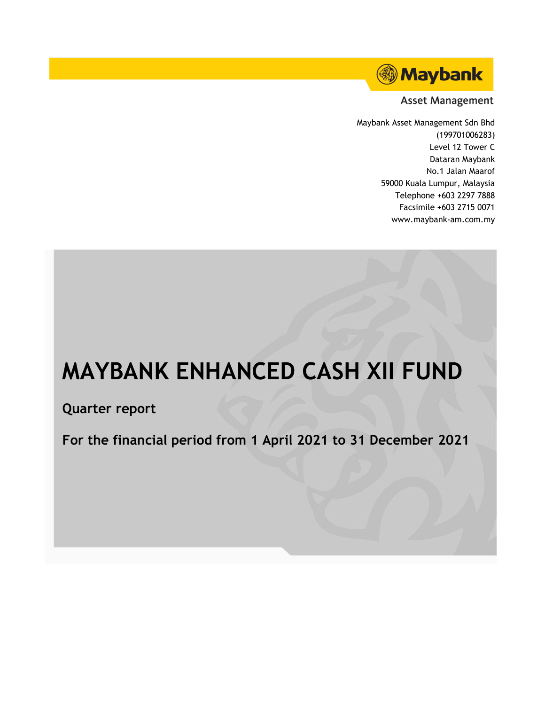

**Asset Management** 

Maybank Asset Management Sdn Bhd (199701006283) Level 12 Tower C Dataran Maybank No.1 Jalan Maarof 59000 Kuala Lumpur, Malaysia Telephone +603 2297 7888 Facsimile +603 2715 0071 www.maybank-am.com.my

# **MAYBANK ENHANCED CASH XII FUND**

**Quarter report**

**For the financial period from 1 April 2021 to 31 December 2021**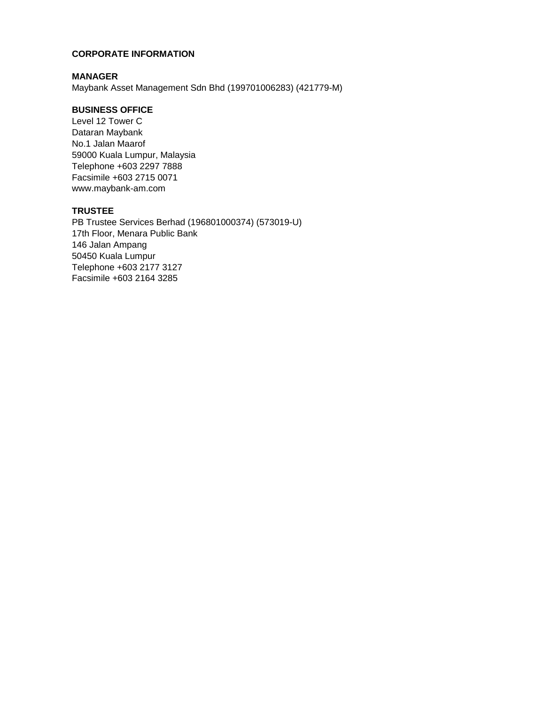## **CORPORATE INFORMATION**

#### **MANAGER**

Maybank Asset Management Sdn Bhd (199701006283) (421779-M)

## **BUSINESS OFFICE**

Level 12 Tower C Dataran Maybank No.1 Jalan Maarof 59000 Kuala Lumpur, Malaysia Telephone +603 2297 7888 Facsimile +603 2715 0071 www.maybank-am.com

## **TRUSTEE**

PB Trustee Services Berhad (196801000374) (573019-U) 17th Floor, Menara Public Bank 146 Jalan Ampang 50450 Kuala Lumpur Telephone +603 2177 3127 Facsimile +603 2164 3285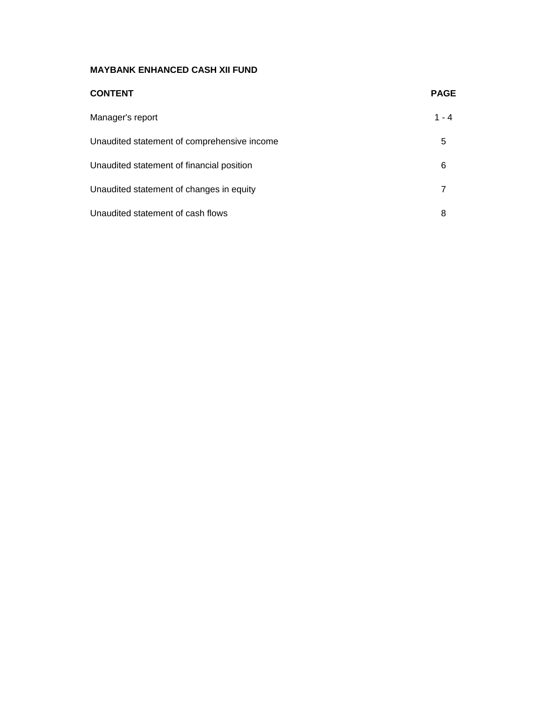| <b>CONTENT</b>                              | <b>PAGE</b> |
|---------------------------------------------|-------------|
| Manager's report                            | $1 - 4$     |
| Unaudited statement of comprehensive income | 5           |
| Unaudited statement of financial position   | 6           |
| Unaudited statement of changes in equity    | 7           |
| Unaudited statement of cash flows           | 8           |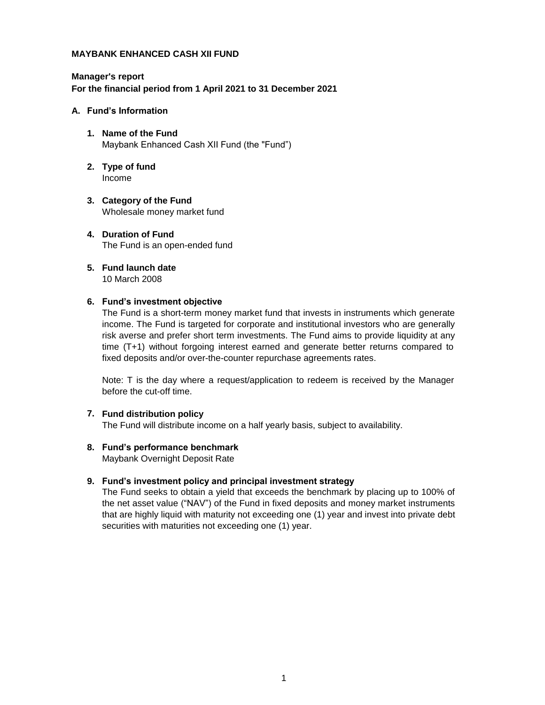## **Manager's report For the financial period from 1 April 2021 to 31 December 2021**

#### **A. Fund's Information**

- **1. Name of the Fund** Maybank Enhanced Cash XII Fund (the "Fund")
- **2. Type of fund** Income
- **3. Category of the Fund** Wholesale money market fund
- **4. Duration of Fund** The Fund is an open-ended fund
- **5. Fund launch date** 10 March 2008

#### **6. Fund's investment objective**

The Fund is a short-term money market fund that invests in instruments which generate income. The Fund is targeted for corporate and institutional investors who are generally risk averse and prefer short term investments. The Fund aims to provide liquidity at any time (T+1) without forgoing interest earned and generate better returns compared to fixed deposits and/or over-the-counter repurchase agreements rates.

Note: T is the day where a request/application to redeem is received by the Manager before the cut-off time.

#### **7. Fund distribution policy**

The Fund will distribute income on a half yearly basis, subject to availability.

## **8. Fund's performance benchmark**

Maybank Overnight Deposit Rate

#### **9. Fund's investment policy and principal investment strategy**

The Fund seeks to obtain a yield that exceeds the benchmark by placing up to 100% of the net asset value ("NAV") of the Fund in fixed deposits and money market instruments that are highly liquid with maturity not exceeding one (1) year and invest into private debt securities with maturities not exceeding one (1) year.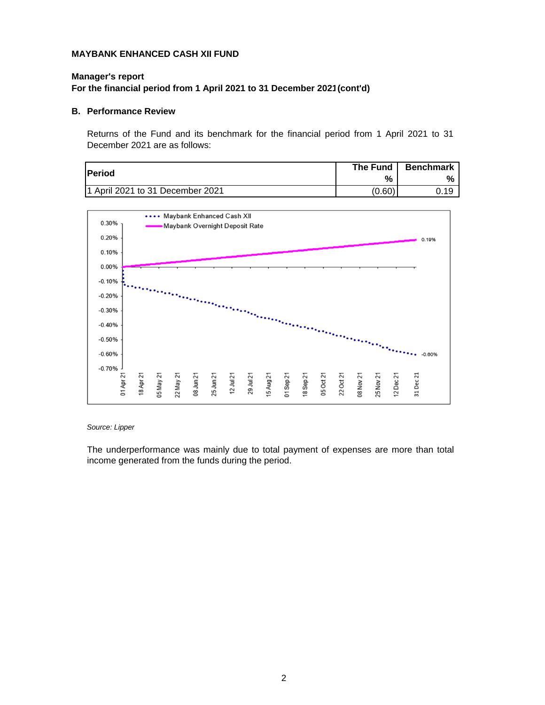## **Manager's report For the financial period from 1 April 2021 to 31 December 2021(cont'd)**

#### **B. Performance Review**

Returns of the Fund and its benchmark for the financial period from 1 April 2021 to 31 December 2021 are as follows:

|                                  | <b>The Fund</b> | <b>Benchmark</b> |
|----------------------------------|-----------------|------------------|
| <b>Period</b>                    | %               | %                |
| 1 April 2021 to 31 December 2021 | (0.60)          | 19               |



#### *Source: Lipper*

The underperformance was mainly due to total payment of expenses are more than total income generated from the funds during the period.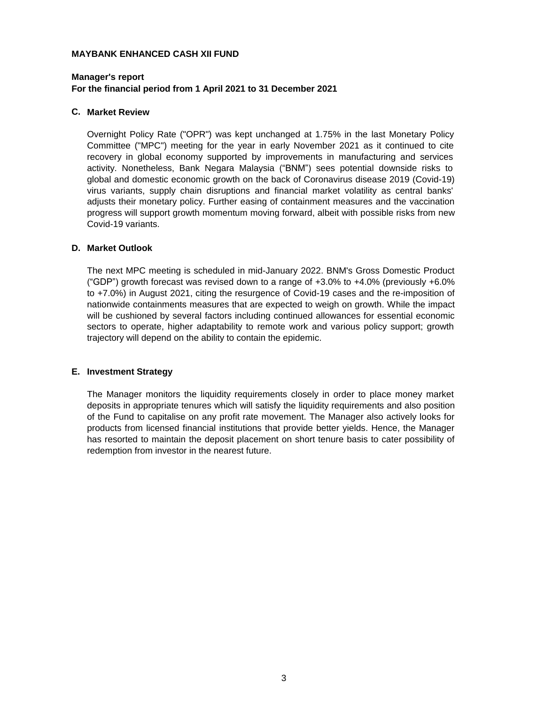## **Manager's report For the financial period from 1 April 2021 to 31 December 2021**

#### **C. Market Review**

Overnight Policy Rate ("OPR") was kept unchanged at 1.75% in the last Monetary Policy Committee ("MPC") meeting for the year in early November 2021 as it continued to cite recovery in global economy supported by improvements in manufacturing and services activity. Nonetheless, Bank Negara Malaysia ("BNM") sees potential downside risks to global and domestic economic growth on the back of Coronavirus disease 2019 (Covid-19) virus variants, supply chain disruptions and financial market volatility as central banks' adjusts their monetary policy. Further easing of containment measures and the vaccination progress will support growth momentum moving forward, albeit with possible risks from new Covid-19 variants.

#### **D. Market Outlook**

The next MPC meeting is scheduled in mid-January 2022. BNM's Gross Domestic Product ("GDP") growth forecast was revised down to a range of  $+3.0\%$  to  $+4.0\%$  (previously  $+6.0\%$ ) to +7.0%) in August 2021, citing the resurgence of Covid-19 cases and the re-imposition of nationwide containments measures that are expected to weigh on growth. While the impact will be cushioned by several factors including continued allowances for essential economic sectors to operate, higher adaptability to remote work and various policy support; growth trajectory will depend on the ability to contain the epidemic.

#### **E. Investment Strategy**

The Manager monitors the liquidity requirements closely in order to place money market deposits in appropriate tenures which will satisfy the liquidity requirements and also position of the Fund to capitalise on any profit rate movement. The Manager also actively looks for products from licensed financial institutions that provide better yields. Hence, the Manager has resorted to maintain the deposit placement on short tenure basis to cater possibility of redemption from investor in the nearest future.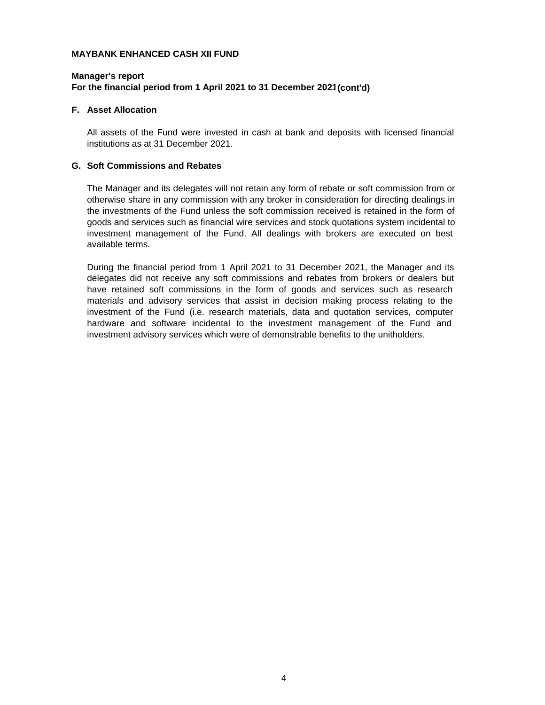## **Manager's report For the financial period from 1 April 2021 to 31 December 2021(cont'd)**

#### **F. Asset Allocation**

All assets of the Fund were invested in cash at bank and deposits with licensed financial institutions as at 31 December 2021.

#### **G. Soft Commissions and Rebates**

The Manager and its delegates will not retain any form of rebate or soft commission from or otherwise share in any commission with any broker in consideration for directing dealings in the investments of the Fund unless the soft commission received is retained in the form of goods and services such as financial wire services and stock quotations system incidental to investment management of the Fund. All dealings with brokers are executed on best available terms.

During the financial period from 1 April 2021 to 31 December 2021, the Manager and its delegates did not receive any soft commissions and rebates from brokers or dealers but have retained soft commissions in the form of goods and services such as research materials and advisory services that assist in decision making process relating to the investment of the Fund (i.e. research materials, data and quotation services, computer hardware and software incidental to the investment management of the Fund and investment advisory services which were of demonstrable benefits to the unitholders.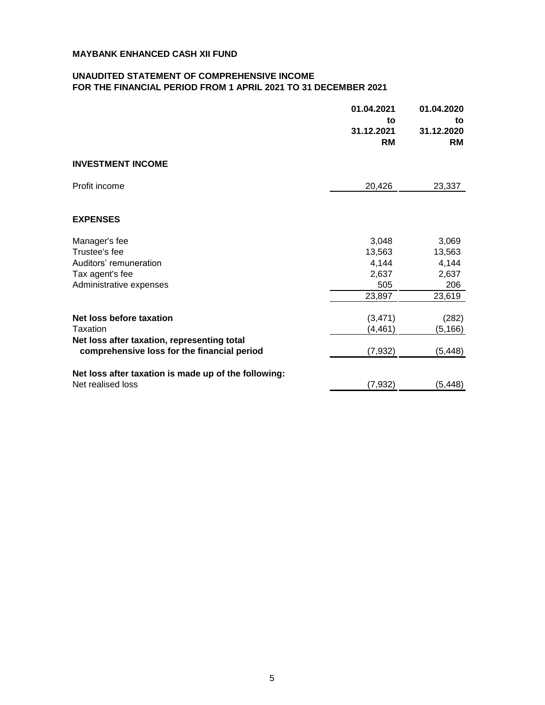#### **UNAUDITED STATEMENT OF COMPREHENSIVE INCOME FOR THE FINANCIAL PERIOD FROM 1 APRIL 2021 TO 31 DECEMBER 2021**

|                                                      | 01.04.2021<br>to<br>31.12.2021<br><b>RM</b> | 01.04.2020<br>to<br>31.12.2020<br><b>RM</b> |
|------------------------------------------------------|---------------------------------------------|---------------------------------------------|
| <b>INVESTMENT INCOME</b>                             |                                             |                                             |
| Profit income                                        | 20,426                                      | 23,337                                      |
| <b>EXPENSES</b>                                      |                                             |                                             |
| Manager's fee                                        | 3,048                                       | 3,069                                       |
| Trustee's fee                                        | 13,563                                      | 13,563                                      |
| Auditors' remuneration                               | 4,144                                       | 4,144                                       |
| Tax agent's fee                                      | 2,637                                       | 2,637                                       |
| Administrative expenses                              | 505                                         | 206                                         |
|                                                      | 23,897                                      | 23,619                                      |
| Net loss before taxation                             | (3, 471)                                    | (282)                                       |
| Taxation                                             | (4, 461)                                    | (5, 166)                                    |
| Net loss after taxation, representing total          |                                             |                                             |
| comprehensive loss for the financial period          | (7, 932)                                    | (5, 448)                                    |
| Net loss after taxation is made up of the following: |                                             |                                             |
| Net realised loss                                    | (7, 932)                                    | (5, 448)                                    |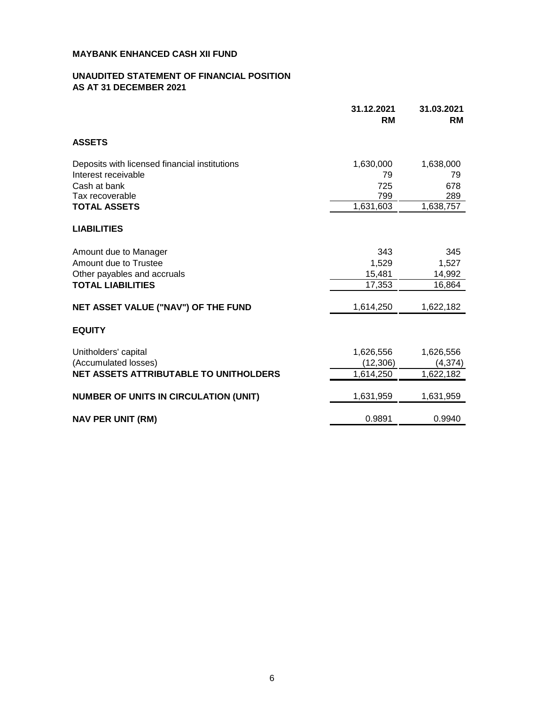#### **UNAUDITED STATEMENT OF FINANCIAL POSITION AS AT 31 DECEMBER 2021**

|                                               | 31.12.2021<br><b>RM</b> | 31.03.2021<br><b>RM</b> |
|-----------------------------------------------|-------------------------|-------------------------|
| <b>ASSETS</b>                                 |                         |                         |
| Deposits with licensed financial institutions | 1,630,000               | 1,638,000               |
| Interest receivable                           | 79                      | 79                      |
| Cash at bank                                  | 725                     | 678                     |
| Tax recoverable                               | 799                     | 289                     |
| <b>TOTAL ASSETS</b>                           | 1,631,603               | 1,638,757               |
| <b>LIABILITIES</b>                            |                         |                         |
| Amount due to Manager                         | 343                     | 345                     |
| Amount due to Trustee                         | 1,529                   | 1,527                   |
| Other payables and accruals                   | 15,481                  | 14,992                  |
| <b>TOTAL LIABILITIES</b>                      | 17,353                  | 16,864                  |
| NET ASSET VALUE ("NAV") OF THE FUND           | 1,614,250               | 1,622,182               |
| <b>EQUITY</b>                                 |                         |                         |
| Unitholders' capital                          | 1,626,556               | 1,626,556               |
| (Accumulated losses)                          | (12,306)                | (4, 374)                |
| <b>NET ASSETS ATTRIBUTABLE TO UNITHOLDERS</b> | 1,614,250               | 1,622,182               |
| <b>NUMBER OF UNITS IN CIRCULATION (UNIT)</b>  | 1,631,959               | 1,631,959               |
| <b>NAV PER UNIT (RM)</b>                      | 0.9891                  | 0.9940                  |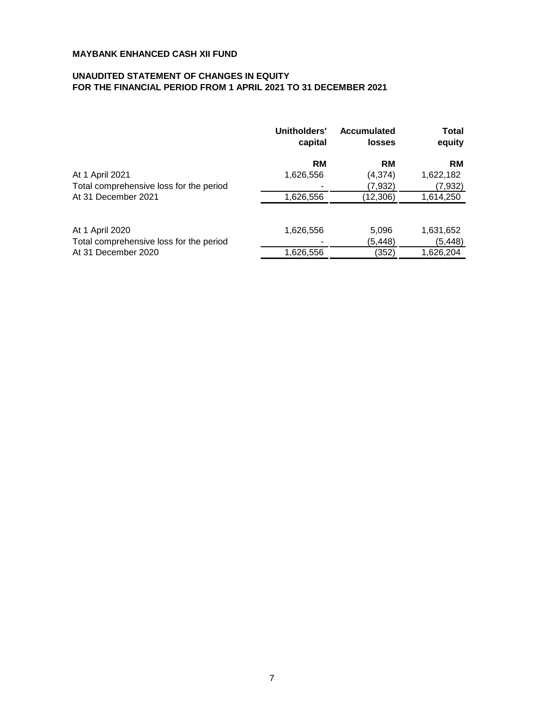## **UNAUDITED STATEMENT OF CHANGES IN EQUITY FOR THE FINANCIAL PERIOD FROM 1 APRIL 2021 TO 31 DECEMBER 2021**

|                                         | Unitholders'<br>capital | <b>Accumulated</b><br><b>losses</b> | Total<br>equity |
|-----------------------------------------|-------------------------|-------------------------------------|-----------------|
|                                         | RM                      | <b>RM</b>                           | RM              |
| At 1 April 2021                         | 1,626,556               | (4, 374)                            | 1,622,182       |
| Total comprehensive loss for the period |                         | (7,932)                             | (7,932)         |
| At 31 December 2021                     | 1,626,556               | (12,306)                            | 1,614,250       |
| At 1 April 2020                         | 1,626,556               | 5,096                               | 1,631,652       |
| Total comprehensive loss for the period |                         | (5,448)                             | (5, 448)        |
| At 31 December 2020                     | 1,626,556               | (352)                               | 1,626,204       |